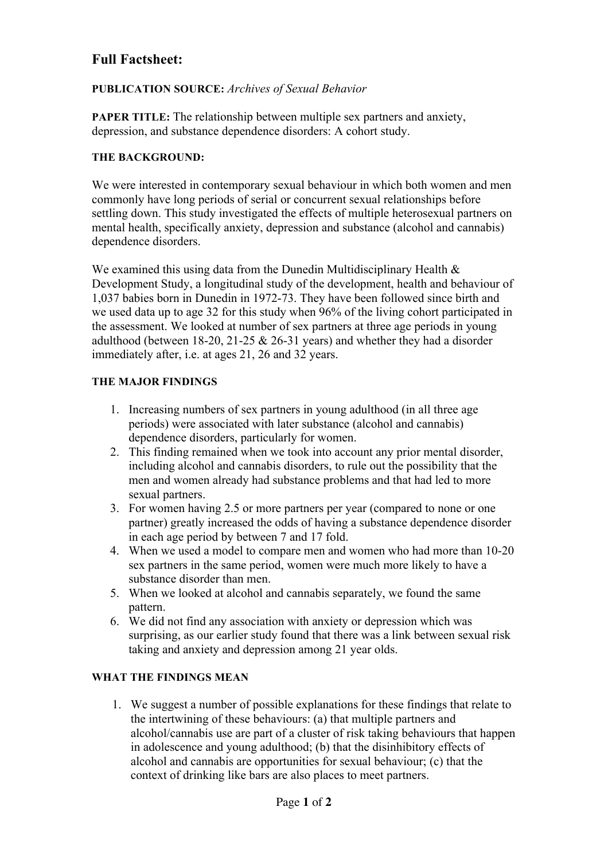# **Full Factsheet:**

## **PUBLICATION SOURCE:** *Archives of Sexual Behavior*

**PAPER TITLE:** The relationship between multiple sex partners and anxiety, depression, and substance dependence disorders: A cohort study.

#### **THE BACKGROUND:**

We were interested in contemporary sexual behaviour in which both women and men commonly have long periods of serial or concurrent sexual relationships before settling down. This study investigated the effects of multiple heterosexual partners on mental health, specifically anxiety, depression and substance (alcohol and cannabis) dependence disorders.

We examined this using data from the Dunedin Multidisciplinary Health  $\&$ Development Study, a longitudinal study of the development, health and behaviour of 1,037 babies born in Dunedin in 1972-73. They have been followed since birth and we used data up to age 32 for this study when 96% of the living cohort participated in the assessment. We looked at number of sex partners at three age periods in young adulthood (between 18-20, 21-25 & 26-31 years) and whether they had a disorder immediately after, i.e. at ages 21, 26 and 32 years.

#### **THE MAJOR FINDINGS**

- 1. Increasing numbers of sex partners in young adulthood (in all three age periods) were associated with later substance (alcohol and cannabis) dependence disorders, particularly for women.
- 2. This finding remained when we took into account any prior mental disorder, including alcohol and cannabis disorders, to rule out the possibility that the men and women already had substance problems and that had led to more sexual partners.
- 3. For women having 2.5 or more partners per year (compared to none or one partner) greatly increased the odds of having a substance dependence disorder in each age period by between 7 and 17 fold.
- 4. When we used a model to compare men and women who had more than 10-20 sex partners in the same period, women were much more likely to have a substance disorder than men.
- 5. When we looked at alcohol and cannabis separately, we found the same pattern.
- 6. We did not find any association with anxiety or depression which was surprising, as our earlier study found that there was a link between sexual risk taking and anxiety and depression among 21 year olds.

## **WHAT THE FINDINGS MEAN**

1. We suggest a number of possible explanations for these findings that relate to the intertwining of these behaviours: (a) that multiple partners and alcohol/cannabis use are part of a cluster of risk taking behaviours that happen in adolescence and young adulthood; (b) that the disinhibitory effects of alcohol and cannabis are opportunities for sexual behaviour; (c) that the context of drinking like bars are also places to meet partners.